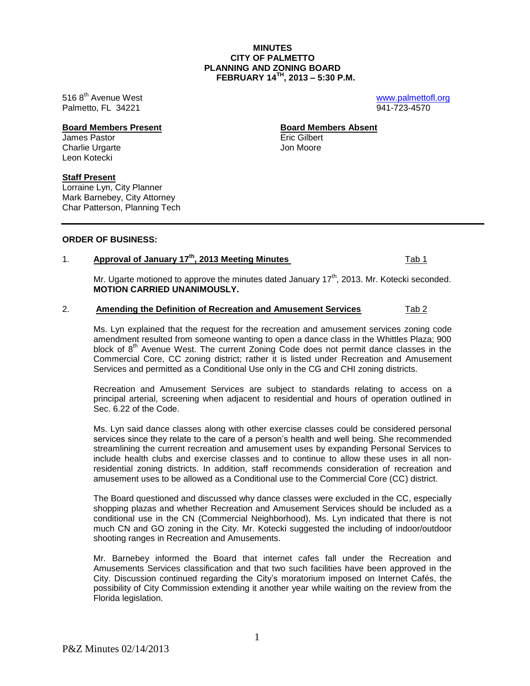P&Z Minutes 02/14/2013

**MINUTES CITY OF PALMETTO PLANNING AND ZONING BOARD FEBRUARY 14TH , 2013 – 5:30 P.M.**

516 8<sup>th</sup> Avenue West **by a struck [www.palmettofl.org](http://www.palmettofl.org/)** Palmetto, FL 34221 941-723-4570

James Pastor Eric Gilbert Charlie Urgarte Leon Kotecki

### **Staff Present**

Lorraine Lyn, City Planner Mark Barnebey, City Attorney Char Patterson, Planning Tech

### **ORDER OF BUSINESS:**

# 1. **Approval of January 17th, 2013 Meeting Minutes** Tab 1

Mr. Ugarte motioned to approve the minutes dated January  $17<sup>th</sup>$ , 2013. Mr. Kotecki seconded. **MOTION CARRIED UNANIMOUSLY.**

## 2. **Amending the Definition of Recreation and Amusement Services** Tab 2

Ms. Lyn explained that the request for the recreation and amusement services zoning code amendment resulted from someone wanting to open a dance class in the Whittles Plaza; 900 block of  $8<sup>th</sup>$  Avenue West. The current Zoning Code does not permit dance classes in the Commercial Core, CC zoning district; rather it is listed under Recreation and Amusement Services and permitted as a Conditional Use only in the CG and CHI zoning districts.

Recreation and Amusement Services are subject to standards relating to access on a principal arterial, screening when adjacent to residential and hours of operation outlined in Sec. 6.22 of the Code.

Ms. Lyn said dance classes along with other exercise classes could be considered personal services since they relate to the care of a person's health and well being. She recommended streamlining the current recreation and amusement uses by expanding Personal Services to include health clubs and exercise classes and to continue to allow these uses in all nonresidential zoning districts. In addition, staff recommends consideration of recreation and amusement uses to be allowed as a Conditional use to the Commercial Core (CC) district.

The Board questioned and discussed why dance classes were excluded in the CC, especially shopping plazas and whether Recreation and Amusement Services should be included as a conditional use in the CN (Commercial Neighborhood), Ms. Lyn indicated that there is not much CN and GO zoning in the City. Mr. Kotecki suggested the including of indoor/outdoor shooting ranges in Recreation and Amusements.

Mr. Barnebey informed the Board that internet cafes fall under the Recreation and Amusements Services classification and that two such facilities have been approved in the City. Discussion continued regarding the City's moratorium imposed on Internet Cafés, the possibility of City Commission extending it another year while waiting on the review from the Florida legislation.

**Board Members Present Board Members Absent**

1